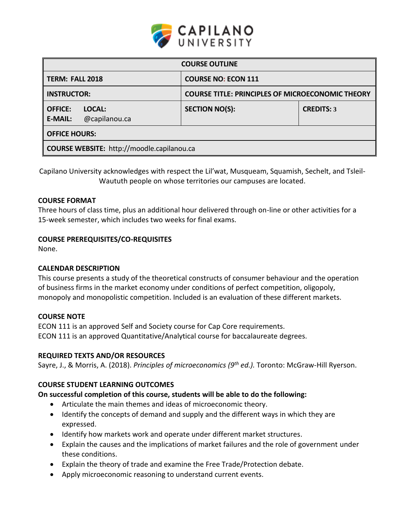

| <b>COURSE OUTLINE</b>                                       |                                                         |                   |  |  |  |
|-------------------------------------------------------------|---------------------------------------------------------|-------------------|--|--|--|
| TERM: FALL 2018                                             | <b>COURSE NO: ECON 111</b>                              |                   |  |  |  |
| <b>INSTRUCTOR:</b>                                          | <b>COURSE TITLE: PRINCIPLES OF MICROECONOMIC THEORY</b> |                   |  |  |  |
| <b>OFFICE:</b><br>LOCAL:<br><b>E-MAIL:</b><br>@capilanou.ca | <b>SECTION NO(S):</b>                                   | <b>CREDITS: 3</b> |  |  |  |
| <b>OFFICE HOURS:</b>                                        |                                                         |                   |  |  |  |
| <b>COURSE WEBSITE: http://moodle.capilanou.ca</b>           |                                                         |                   |  |  |  |

Capilano University acknowledges with respect the Lil'wat, Musqueam, Squamish, Sechelt, and Tsleil-Waututh people on whose territories our campuses are located.

## **COURSE FORMAT**

Three hours of class time, plus an additional hour delivered through on-line or other activities for a 15-week semester, which includes two weeks for final exams.

## **COURSE PREREQUISITES/CO-REQUISITES**

None.

#### **CALENDAR DESCRIPTION**

This course presents a study of the theoretical constructs of consumer behaviour and the operation of business firms in the market economy under conditions of perfect competition, oligopoly, monopoly and monopolistic competition. Included is an evaluation of these different markets.

#### **COURSE NOTE**

ECON 111 is an approved Self and Society course for Cap Core requirements. ECON 111 is an approved Quantitative/Analytical course for baccalaureate degrees.

#### **REQUIRED TEXTS AND/OR RESOURCES**

Sayre, J., & Morris, A. (2018). *Principles of microeconomics (9 th ed.).* Toronto: McGraw-Hill Ryerson.

# **COURSE STUDENT LEARNING OUTCOMES**

#### **On successful completion of this course, students will be able to do the following:**

- Articulate the main themes and ideas of microeconomic theory.
- Identify the concepts of demand and supply and the different ways in which they are expressed.
- Identify how markets work and operate under different market structures.
- Explain the causes and the implications of market failures and the role of government under these conditions.
- Explain the theory of trade and examine the Free Trade/Protection debate.
- Apply microeconomic reasoning to understand current events.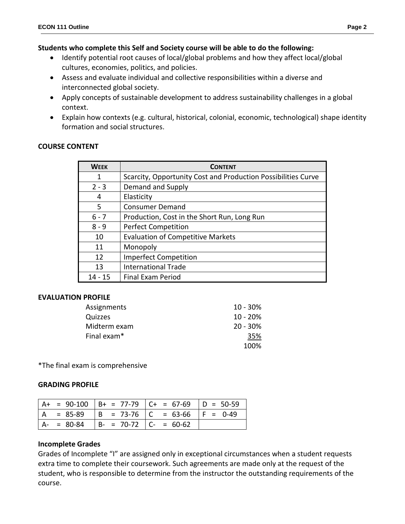# **Students who complete this Self and Society course will be able to do the following:**

- Identify potential root causes of local/global problems and how they affect local/global cultures, economies, politics, and policies.
- Assess and evaluate individual and collective responsibilities within a diverse and interconnected global society.
- Apply concepts of sustainable development to address sustainability challenges in a global context.
- Explain how contexts (e.g. cultural, historical, colonial, economic, technological) shape identity formation and social structures.

## **COURSE CONTENT**

| <b>WEEK</b> | <b>CONTENT</b>                                                |
|-------------|---------------------------------------------------------------|
| 1           | Scarcity, Opportunity Cost and Production Possibilities Curve |
| $2 - 3$     | Demand and Supply                                             |
| 4           | Elasticity                                                    |
| 5.          | <b>Consumer Demand</b>                                        |
| $6 - 7$     | Production, Cost in the Short Run, Long Run                   |
| $8 - 9$     | <b>Perfect Competition</b>                                    |
| 10          | <b>Evaluation of Competitive Markets</b>                      |
| 11          | Monopoly                                                      |
| 12          | <b>Imperfect Competition</b>                                  |
| 13          | <b>International Trade</b>                                    |
| $14 - 15$   | <b>Final Exam Period</b>                                      |

#### **EVALUATION PROFILE**

| Assignments  | $10 - 30\%$ |
|--------------|-------------|
| Quizzes      | $10 - 20\%$ |
| Midterm exam | $20 - 30\%$ |
| Final exam*  | 35%         |
|              | 100%        |

\*The final exam is comprehensive

#### **GRADING PROFILE**

|               |                         | $ $ A+ = 90-100 $ $ B+ = 77-79 $ $ C+ = 67-69 $ $ D = 50-59 |  |
|---------------|-------------------------|-------------------------------------------------------------|--|
|               |                         | A = 85-89   B = 73-76   C = 63-66   F = 0-49                |  |
| $A - = 80-84$ | $ B- = 70-72 C = 60-62$ |                                                             |  |

# **Incomplete Grades**

Grades of Incomplete "I" are assigned only in exceptional circumstances when a student requests extra time to complete their coursework. Such agreements are made only at the request of the student, who is responsible to determine from the instructor the outstanding requirements of the course.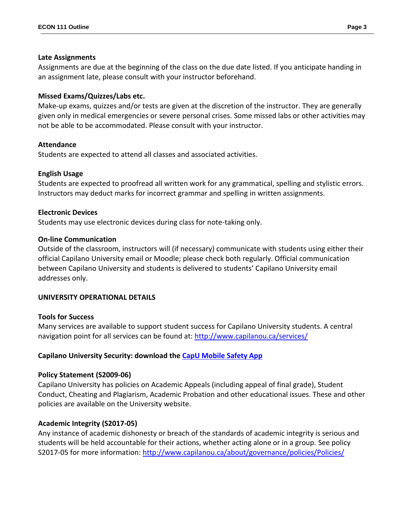## **Late Assignments**

Assignments are due at the beginning of the class on the due date listed. If you anticipate handing in an assignment late, please consult with your instructor beforehand.

# **Missed Exams/Quizzes/Labs etc.**

Make-up exams, quizzes and/or tests are given at the discretion of the instructor. They are generally given only in medical emergencies or severe personal crises. Some missed labs or other activities may not be able to be accommodated. Please consult with your instructor.

# **Attendance**

Students are expected to attend all classes and associated activities.

# **English Usage**

Students are expected to proofread all written work for any grammatical, spelling and stylistic errors. Instructors may deduct marks for incorrect grammar and spelling in written assignments.

## **Electronic Devices**

Students may use electronic devices during class for note-taking only.

## **On-line Communication**

Outside of the classroom, instructors will (if necessary) communicate with students using either their official Capilano University email or Moodle; please check both regularly. Official communication between Capilano University and students is delivered to students' Capilano University email addresses only.

# **UNIVERSITY OPERATIONAL DETAILS**

#### **Tools for Success**

Many services are available to support student success for Capilano University students. A central navigation point for all services can be found at:<http://www.capilanou.ca/services/>

# **Capilano University Security: download the [CapU Mobile Safety App](https://www.capilanou.ca/services/safety-security/CapU-Mobile-Safety-App/)**

# **Policy Statement (S2009-06)**

Capilano University has policies on Academic Appeals (including appeal of final grade), Student Conduct, Cheating and Plagiarism, Academic Probation and other educational issues. These and other policies are available on the University website.

# **Academic Integrity (S2017-05)**

Any instance of academic dishonesty or breach of the standards of academic integrity is serious and students will be held accountable for their actions, whether acting alone or in a group. See policy S2017-05 for more information: <http://www.capilanou.ca/about/governance/policies/Policies/>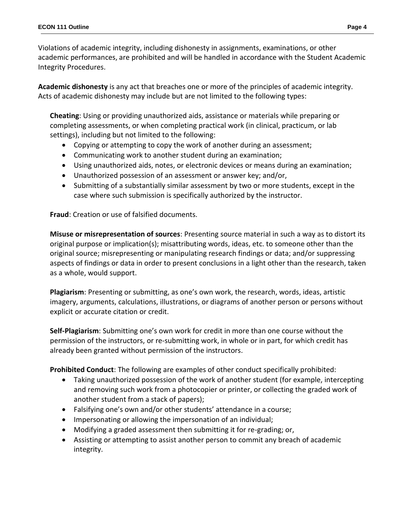Violations of academic integrity, including dishonesty in assignments, examinations, or other academic performances, are prohibited and will be handled in accordance with the Student Academic Integrity Procedures.

**Academic dishonesty** is any act that breaches one or more of the principles of academic integrity. Acts of academic dishonesty may include but are not limited to the following types:

**Cheating**: Using or providing unauthorized aids, assistance or materials while preparing or completing assessments, or when completing practical work (in clinical, practicum, or lab settings), including but not limited to the following:

- Copying or attempting to copy the work of another during an assessment;
- Communicating work to another student during an examination;
- Using unauthorized aids, notes, or electronic devices or means during an examination;
- Unauthorized possession of an assessment or answer key; and/or,
- Submitting of a substantially similar assessment by two or more students, except in the case where such submission is specifically authorized by the instructor.

**Fraud**: Creation or use of falsified documents.

**Misuse or misrepresentation of sources**: Presenting source material in such a way as to distort its original purpose or implication(s); misattributing words, ideas, etc. to someone other than the original source; misrepresenting or manipulating research findings or data; and/or suppressing aspects of findings or data in order to present conclusions in a light other than the research, taken as a whole, would support.

**Plagiarism**: Presenting or submitting, as one's own work, the research, words, ideas, artistic imagery, arguments, calculations, illustrations, or diagrams of another person or persons without explicit or accurate citation or credit.

**Self-Plagiarism**: Submitting one's own work for credit in more than one course without the permission of the instructors, or re-submitting work, in whole or in part, for which credit has already been granted without permission of the instructors.

**Prohibited Conduct**: The following are examples of other conduct specifically prohibited:

- Taking unauthorized possession of the work of another student (for example, intercepting and removing such work from a photocopier or printer, or collecting the graded work of another student from a stack of papers);
- Falsifying one's own and/or other students' attendance in a course;
- Impersonating or allowing the impersonation of an individual;
- Modifying a graded assessment then submitting it for re-grading; or,
- Assisting or attempting to assist another person to commit any breach of academic integrity.